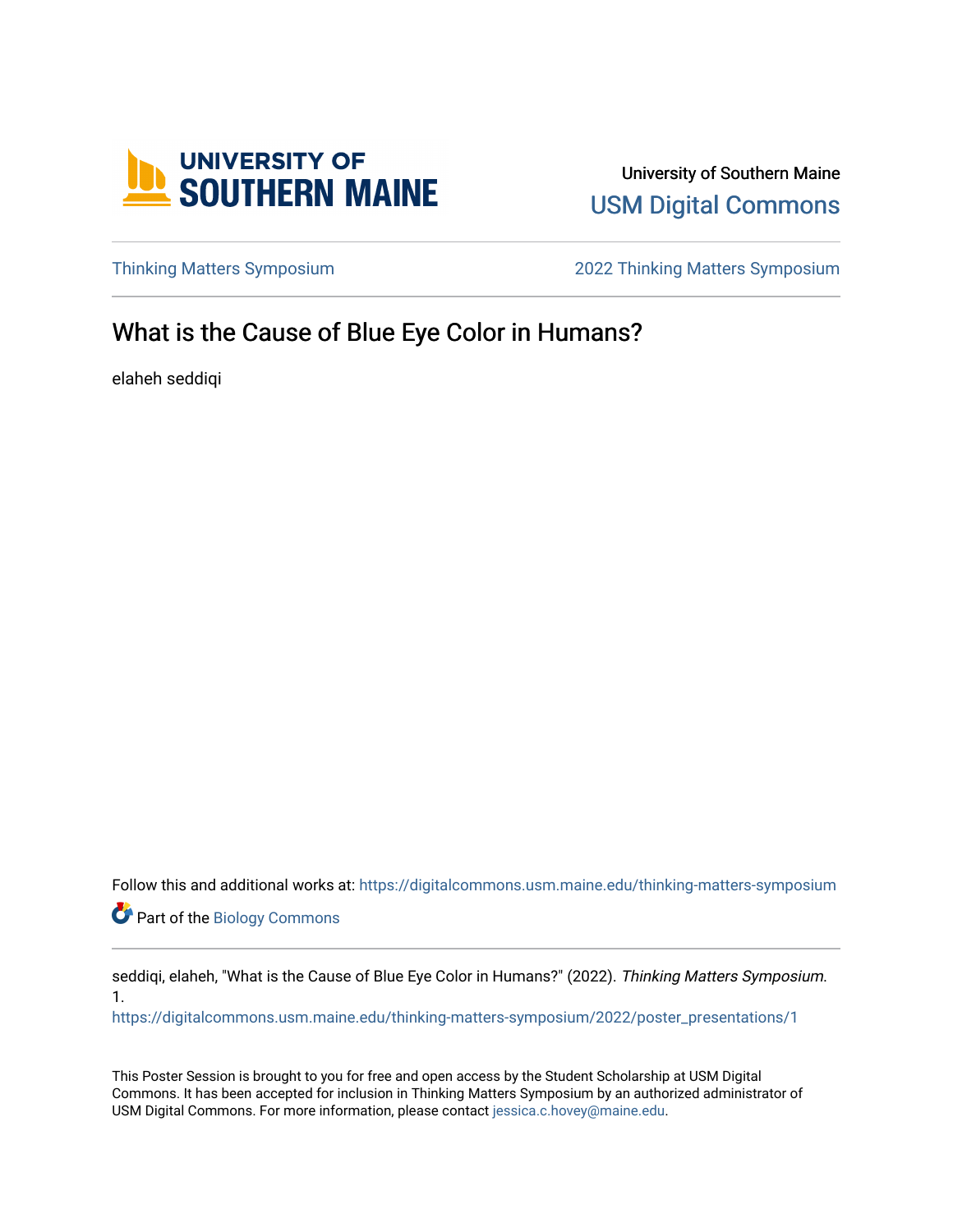

University of Southern Maine [USM Digital Commons](https://digitalcommons.usm.maine.edu/) 

[Thinking Matters Symposium](https://digitalcommons.usm.maine.edu/thinking-matters-symposium) [2022 Thinking Matters Symposium](https://digitalcommons.usm.maine.edu/thinking-matters-symposium/2022) 

## What is the Cause of Blue Eye Color in Humans?

elaheh seddiqi

Follow this and additional works at: [https://digitalcommons.usm.maine.edu/thinking-matters-symposium](https://digitalcommons.usm.maine.edu/thinking-matters-symposium?utm_source=digitalcommons.usm.maine.edu%2Fthinking-matters-symposium%2F2022%2Fposter_presentations%2F1&utm_medium=PDF&utm_campaign=PDFCoverPages) 

**Part of the Biology Commons** 

seddiqi, elaheh, "What is the Cause of Blue Eye Color in Humans?" (2022). Thinking Matters Symposium. 1.

[https://digitalcommons.usm.maine.edu/thinking-matters-symposium/2022/poster\\_presentations/1](https://digitalcommons.usm.maine.edu/thinking-matters-symposium/2022/poster_presentations/1?utm_source=digitalcommons.usm.maine.edu%2Fthinking-matters-symposium%2F2022%2Fposter_presentations%2F1&utm_medium=PDF&utm_campaign=PDFCoverPages)

This Poster Session is brought to you for free and open access by the Student Scholarship at USM Digital Commons. It has been accepted for inclusion in Thinking Matters Symposium by an authorized administrator of USM Digital Commons. For more information, please contact [jessica.c.hovey@maine.edu](mailto:ian.fowler@maine.edu).